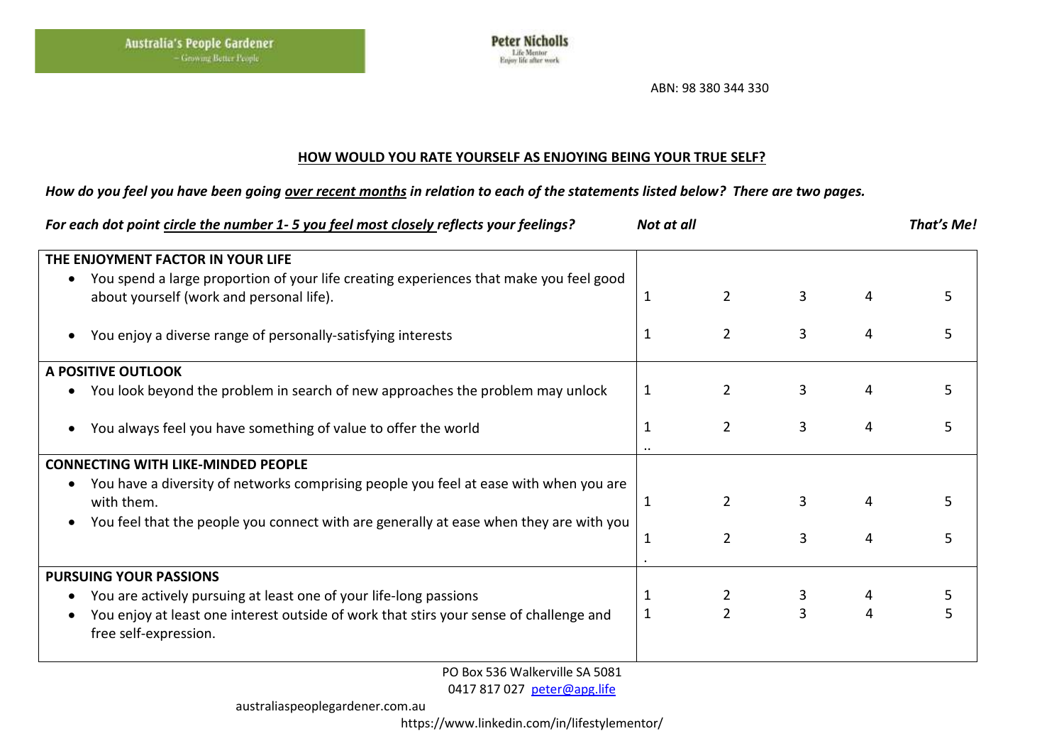

ABN: 98 380 344 330

## **HOW WOULD YOU RATE YOURSELF AS ENJOYING BEING YOUR TRUE SELF?**

## *How do you feel you have been going over recent months in relation to each of the statements listed below? There are two pages.*

| For each dot point circle the number 1-5 you feel most closely reflects your feelings?                                                          | Not at all |                | That's Me!     |   |    |
|-------------------------------------------------------------------------------------------------------------------------------------------------|------------|----------------|----------------|---|----|
| THE ENJOYMENT FACTOR IN YOUR LIFE                                                                                                               |            |                |                |   |    |
| You spend a large proportion of your life creating experiences that make you feel good<br>$\bullet$<br>about yourself (work and personal life). | 1          | $2^{\circ}$    | 3              | 4 | 5  |
| You enjoy a diverse range of personally-satisfying interests<br>$\bullet$                                                                       | 1          | $\overline{2}$ | 3              | 4 | 5  |
| A POSITIVE OUTLOOK                                                                                                                              |            |                |                |   |    |
| You look beyond the problem in search of new approaches the problem may unlock<br>$\bullet$                                                     | 1          | $\overline{2}$ | 3              | 4 |    |
| You always feel you have something of value to offer the world<br>٠                                                                             |            | $\overline{2}$ | 3              | 4 | 5  |
| <b>CONNECTING WITH LIKE-MINDED PEOPLE</b>                                                                                                       |            |                |                |   |    |
| You have a diversity of networks comprising people you feel at ease with when you are<br>٠<br>with them.                                        | 1          | $\overline{2}$ | 3              | 4 | 5. |
| You feel that the people you connect with are generally at ease when they are with you<br>٠                                                     | 1          | $\overline{2}$ | 3              | 4 | 5  |
| <b>PURSUING YOUR PASSIONS</b>                                                                                                                   |            |                |                |   |    |
| You are actively pursuing at least one of your life-long passions<br>٠                                                                          |            | $\overline{2}$ | 3              |   |    |
| You enjoy at least one interest outside of work that stirs your sense of challenge and<br>٠<br>free self-expression.                            | 1          | $\overline{2}$ | $\overline{3}$ | 4 |    |

PO Box 536 Walkerville SA 5081

0417 817 027 [peter@apg.life](mailto:peter@apg.life)

australiaspeoplegardener.com.au

https://www.linkedin.com/in/lifestylementor/